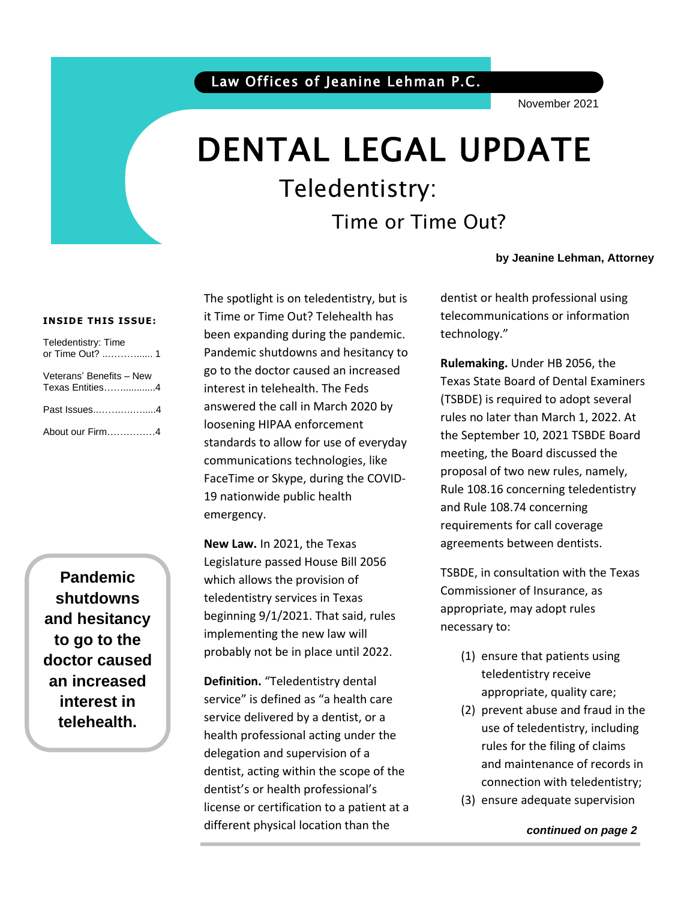### Law Offices of Jeanine Lehman P.C.

November 2021

# DENTAL LEGAL UPDATE Teledentistry: Time or Time Out?

**by Jeanine Lehman, Attorney**

#### **INSIDE THIS ISSUE:**

| Teledentistry: Time                         |
|---------------------------------------------|
| Veterans' Benefits - New<br>Texas Entities4 |
| Past Issues4                                |
|                                             |

**Pandemic shutdowns and hesitancy to go to the doctor caused an increased interest in telehealth.**

The spotlight is on teledentistry, but is it Time or Time Out? Telehealth has been expanding during the pandemic. Pandemic shutdowns and hesitancy to go to the doctor caused an increased interest in telehealth. The Feds answered the call in March 2020 by loosening HIPAA enforcement standards to allow for use of everyday communications technologies, like FaceTime or Skype, during the COVID-19 nationwide public health emergency.

**New Law.** In 2021, the Texas Legislature passed House Bill 2056 which allows the provision of teledentistry services in Texas beginning 9/1/2021. That said, rules implementing the new law will probably not be in place until 2022.

**Definition.** "Teledentistry dental service" is defined as "a health care service delivered by a dentist, or a health professional acting under the delegation and supervision of a dentist, acting within the scope of the dentist's or health professional's license or certification to a patient at a different physical location than the

dentist or health professional using telecommunications or information technology."

**Rulemaking.** Under HB 2056, the Texas State Board of Dental Examiners (TSBDE) is required to adopt several rules no later than March 1, 2022. At the September 10, 2021 TSBDE Board meeting, the Board discussed the proposal of two new rules, namely, Rule 108.16 concerning teledentistry and Rule 108.74 concerning requirements for call coverage agreements between dentists.

TSBDE, in consultation with the Texas Commissioner of Insurance, as appropriate, may adopt rules necessary to:

- (1) ensure that patients using teledentistry receive appropriate, quality care;
- (2) prevent abuse and fraud in the use of teledentistry, including rules for the filing of claims and maintenance of records in connection with teledentistry;
- (3) ensure adequate supervision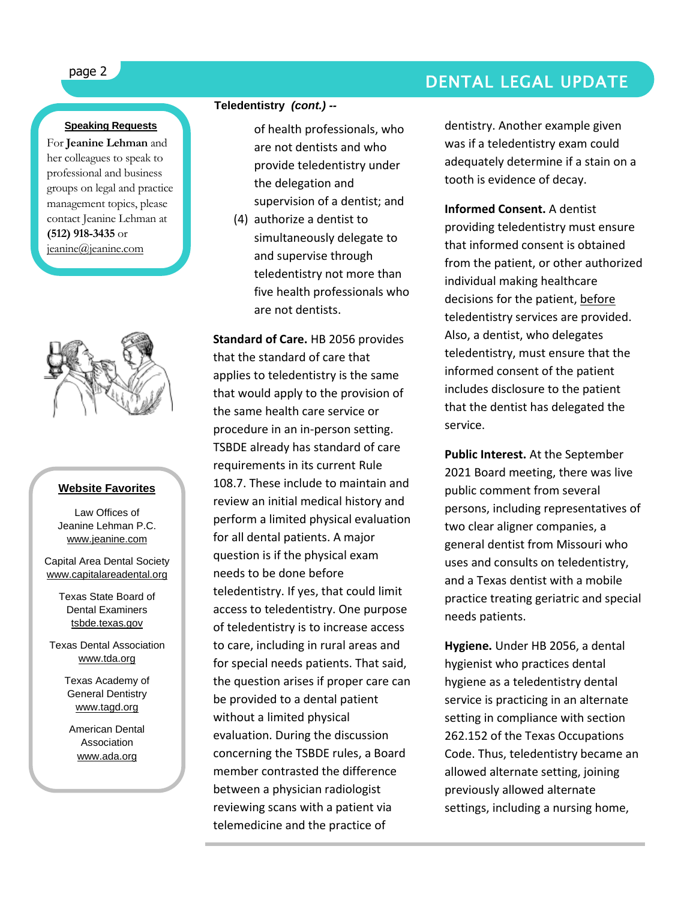### **Speaking Requests**

For **Jeanine Lehman** and her colleagues to speak to professional and business groups on legal and practice management topics, please contact Jeanine Lehman at **(512) 918-3435** or [jeanine@jeanine.com](mailto:jeanine@jeanine.com)

ì



### **Website Favorites**

Law Offices of Jeanine Lehman P.C. [www.jeanine.com](http://www.jeanine.com/)

Capital Area Dental Society [www.capitalareadental.org](http://www.capitalareadental.org/)

> Texas State Board of Dental Examiners tsbde.texas.gov

Texas Dental Association [www.tda.org](http://www.tda.org/)

> Texas Academy of General Dentistry [www.tagd.org](http://www.tagd.org/)

American Dental Association [www.ada.org](http://www.ada.org/)

### **Teledentistry** *(cont.) --*

of health professionals, who are not dentists and who provide teledentistry under the delegation and supervision of a dentist; and

(4) authorize a dentist to simultaneously delegate to and supervise through teledentistry not more than five health professionals who are not dentists.

**Standard of Care. HB 2056 provides** that the standard of care that applies to teledentistry is the same that would apply to the provision of the same health care service or procedure in an in-person setting. TSBDE already has standard of care requirements in its current Rule 108.7. These include to maintain and review an initial medical history and perform a limited physical evaluation for all dental patients. A major question is if the physical exam needs to be done before teledentistry. If yes, that could limit access to teledentistry. One purpose of teledentistry is to increase access to care, including in rural areas and for special needs patients. That said, the question arises if proper care can be provided to a dental patient without a limited physical evaluation. During the discussion concerning the TSBDE rules, a Board member contrasted the difference between a physician radiologist reviewing scans with a patient via telemedicine and the practice of

# page 2 DENTAL LEGAL UPDATE

dentistry. Another example given was if a teledentistry exam could adequately determine if a stain on a tooth is evidence of decay.

**Informed Consent.** A dentist providing teledentistry must ensure that informed consent is obtained from the patient, or other authorized individual making healthcare decisions for the patient, before teledentistry services are provided. Also, a dentist, who delegates teledentistry, must ensure that the informed consent of the patient includes disclosure to the patient that the dentist has delegated the service.

**Public Interest.** At the September 2021 Board meeting, there was live public comment from several persons, including representatives of two clear aligner companies, a general dentist from Missouri who uses and consults on teledentistry, and a Texas dentist with a mobile practice treating geriatric and special needs patients.

**Hygiene.** Under HB 2056, a dental hygienist who practices dental hygiene as a teledentistry dental service is practicing in an alternate setting in compliance with section 262.152 of the Texas Occupations Code. Thus, teledentistry became an allowed alternate setting, joining previously allowed alternate settings, including a nursing home,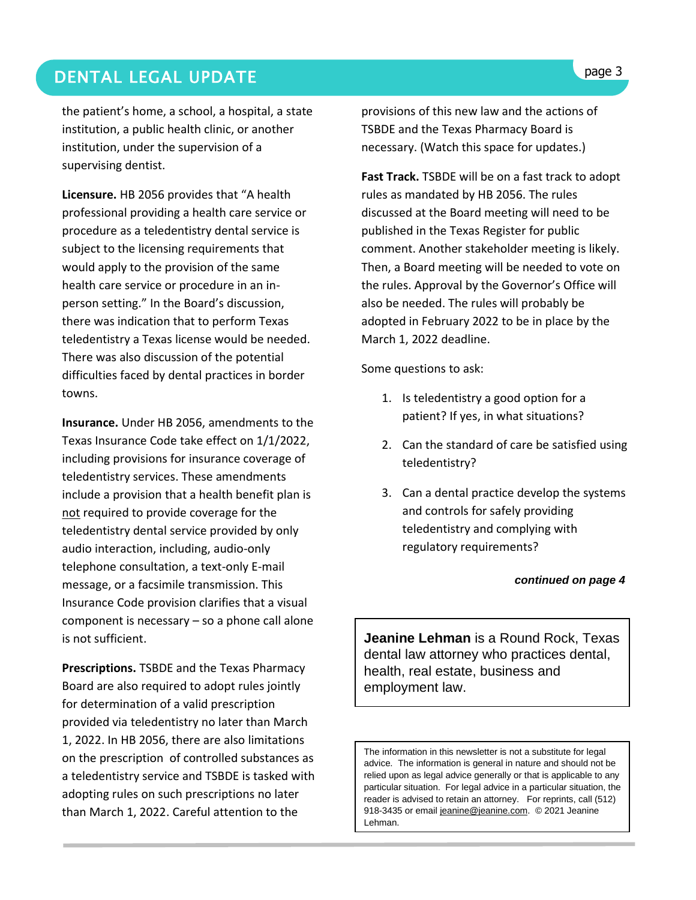# **DENTAL LEGAL UPDATE Superior and the second second service of the second second service of the service of the service of the service of the service of the service of the service of the service of the service of the serv**

the patient's home, a school, a hospital, a state institution, a public health clinic, or another institution, under the supervision of a supervising dentist.

**Licensure.** HB 2056 provides that "A health professional providing a health care service or procedure as a teledentistry dental service is subject to the licensing requirements that would apply to the provision of the same health care service or procedure in an inperson setting." In the Board's discussion, there was indication that to perform Texas teledentistry a Texas license would be needed. There was also discussion of the potential difficulties faced by dental practices in border towns.

**Insurance.** Under HB 2056, amendments to the Texas Insurance Code take effect on 1/1/2022, including provisions for insurance coverage of teledentistry services. These amendments include a provision that a health benefit plan is not required to provide coverage for the teledentistry dental service provided by only audio interaction, including, audio-only telephone consultation, a text-only E-mail message, or a facsimile transmission. This Insurance Code provision clarifies that a visual component is necessary – so a phone call alone is not sufficient.

**Prescriptions.** TSBDE and the Texas Pharmacy Board are also required to adopt rules jointly for determination of a valid prescription provided via teledentistry no later than March 1, 2022. In HB 2056, there are also limitations on the prescription of controlled substances as a teledentistry service and TSBDE is tasked with adopting rules on such prescriptions no later than March 1, 2022. Careful attention to the

provisions of this new law and the actions of TSBDE and the Texas Pharmacy Board is necessary. (Watch this space for updates.)

**Fast Track.** TSBDE will be on a fast track to adopt rules as mandated by HB 2056. The rules discussed at the Board meeting will need to be published in the Texas Register for public comment. Another stakeholder meeting is likely. Then, a Board meeting will be needed to vote on the rules. Approval by the Governor's Office will also be needed. The rules will probably be adopted in February 2022 to be in place by the March 1, 2022 deadline.

Some questions to ask:

- 1. Is teledentistry a good option for a patient? If yes, in what situations?
- 2. Can the standard of care be satisfied using teledentistry?
- 3. Can a dental practice develop the systems and controls for safely providing teledentistry and complying with regulatory requirements?

### *continued on page 4*

**Jeanine Lehman** is a Round Rock, Texas dental law attorney who practices dental, health, real estate, business and employment law.

The information in this newsletter is not a substitute for legal advice. The information is general in nature and should not be relied upon as legal advice generally or that is applicable to any particular situation. For legal advice in a particular situation, the reader is advised to retain an attorney. For reprints, call (512) 918-3435 or email [jeanine@jeanine.com.](mailto:jeanine@jeanine.com) © 2021 Jeanine Lehman.